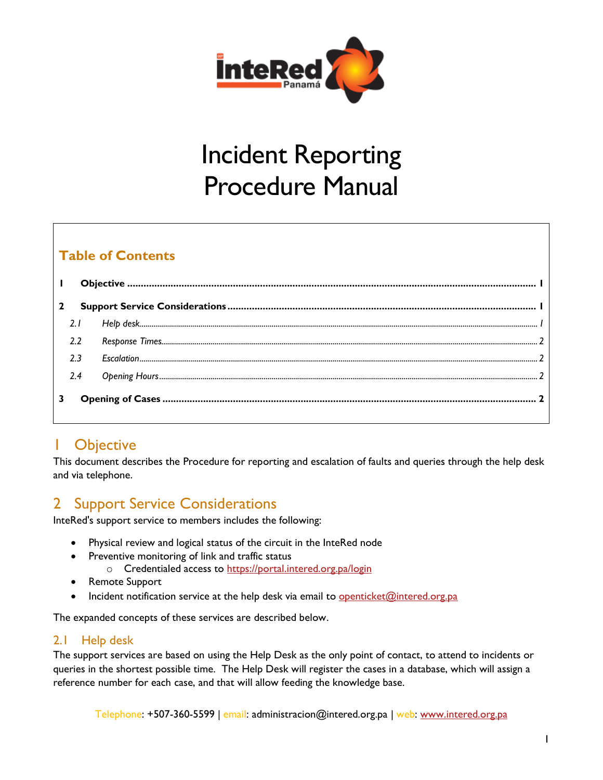

# Incident Reporting Procedure Manual

## **Table of Contents**

# <span id="page-0-0"></span>1 Objective

This document describes the Procedure for reporting and escalation of faults and queries through the help desk and via telephone.

# <span id="page-0-1"></span>2 Support Service Considerations

InteRed's support service to members includes the following:

- Physical review and logical status of the circuit in the InteRed node
- Preventive monitoring of link and traffic status
	- o Credentialed access to<https://portal.intered.org.pa/login>
- Remote Support
- Incident notification service at the help desk via email to **[openticket@intered.org.pa](mailto:openticket@intered.org.pa)**

The expanded concepts of these services are described below.

## <span id="page-0-2"></span>2.1 Help desk

The support services are based on using the Help Desk as the only point of contact, to attend to incidents or queries in the shortest possible time. The Help Desk will register the cases in a database, which will assign a reference number for each case, and that will allow feeding the knowledge base.

Telephone: +507-360-5599 | email: administracion@intered.org.pa | web: [www.intered.org.pa](http://www.intered.org.pa/)